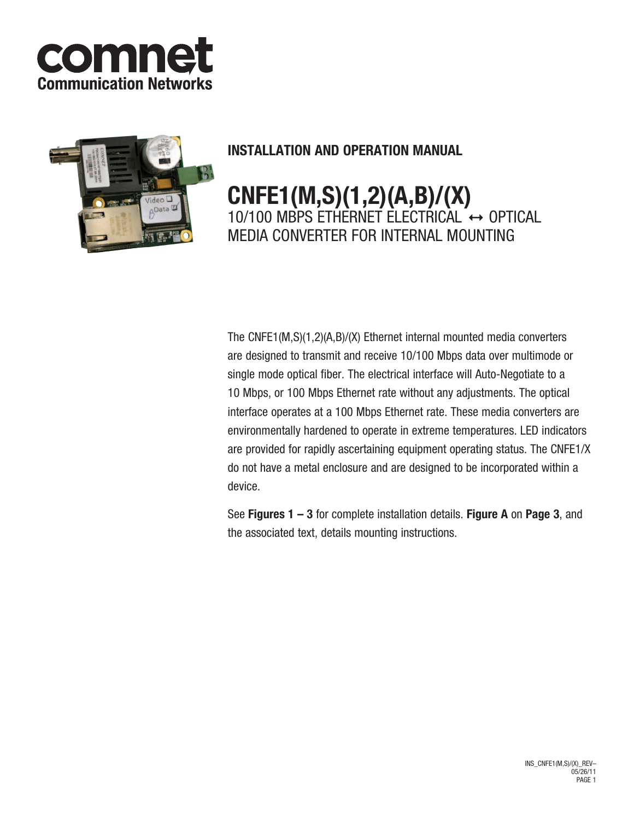



## **INSTALLATION AND OPERATION MANUAL**

# **CNFE1(M,S)(1,2)(A,B)/(X)** 10/100 MBPS ETHERNET ELECTRICAL  $\leftrightarrow$  OPTICAL media converter for internal mounting

The CNFE1(M,S)(1,2)(A,B)/(X) Ethernet internal mounted media converters are designed to transmit and receive 10/100 Mbps data over multimode or single mode optical fiber. The electrical interface will Auto-Negotiate to a 10 Mbps, or 100 Mbps Ethernet rate without any adjustments. The optical interface operates at a 100 Mbps Ethernet rate. These media converters are environmentally hardened to operate in extreme temperatures. LED indicators are provided for rapidly ascertaining equipment operating status. The CNFE1/X do not have a metal enclosure and are designed to be incorporated within a device.

See **Figures 1 – 3** for complete installation details. **Figure A** on **Page 3**, and the associated text, details mounting instructions.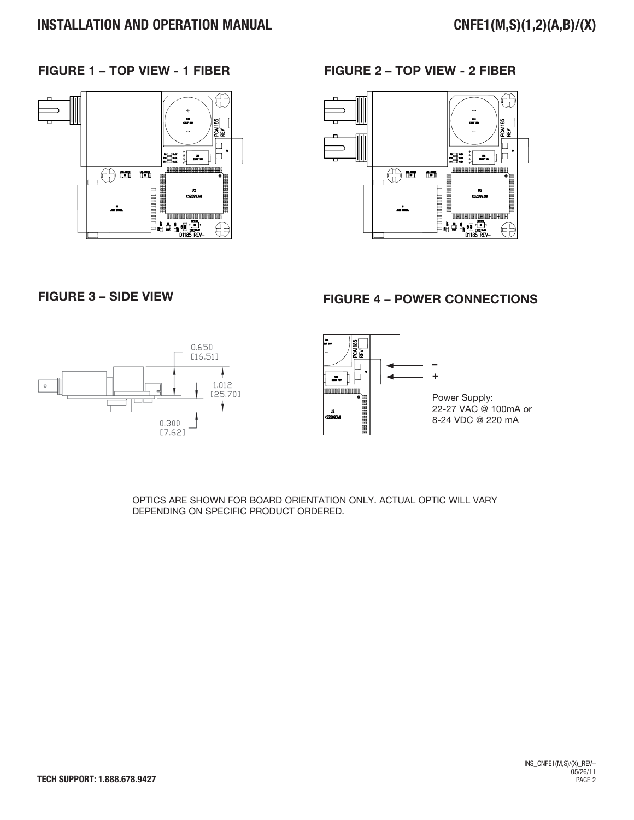### **FIGURE 1 – TOP VIEW - 1 FIBER FIGURE 2 – TOP VIEW - 2 FIBER**





### **FIGURE 3 – SIDE VIEW FIGURE 4 – POWER CONNECTIONS**





Power Supply: 22-27 VAC @ 100mA or 8-24 VDC @ 220 mA

OPTICS ARE SHOWN FOR BOARD ORIENTATION ONLY. ACTUAL OPTIC WILL VARY DEPENDING ON SPECIFIC PRODUCT ORDERED.